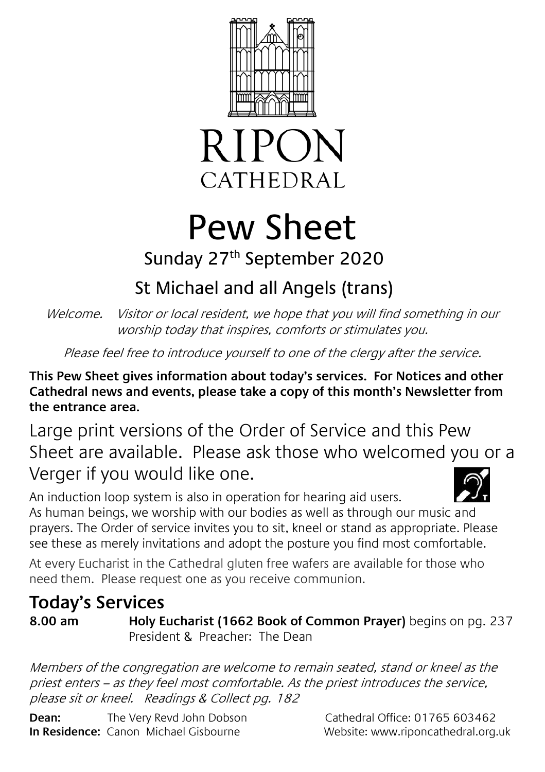



# Pew Sheet

### Sunday 27th September 2020

## St Michael and all Angels (trans)

Welcome. Visitor or local resident, we hope that you will find something in our worship today that inspires, comforts or stimulates you.

Please feel free to introduce yourself to one of the clergy after the service.

**This Pew Sheet gives information about today's services. For Notices and other Cathedral news and events, please take a copy of this month's Newsletter from the entrance area.** 

Large print versions of the Order of Service and this Pew Sheet are available. Please ask those who welcomed you or a Verger if you would like one.

An induction loop system is also in operation for hearing aid users. As human beings, we worship with our bodies as well as through our music and prayers. The Order of service invites you to sit, kneel or stand as appropriate. Please see these as merely invitations and adopt the posture you find most comfortable.

At every Eucharist in the Cathedral gluten free wafers are available for those who need them. Please request one as you receive communion.

## **Today's Services**

**8.00 am Holy Eucharist (1662 Book of Common Prayer)** begins on pg. 237 President & Preacher: The Dean

Members of the congregation are welcome to remain seated, stand or kneel as the priest enters – as they feel most comfortable. As the priest introduces the service, please sit or kneel. Readings & Collect pg. 182

**Dean:** The Very Revd John Dobson Cathedral Office: 01765 603462 **In Residence:** Canon Michael Gisbourne **Website:** www.riponcathedral.org.uk